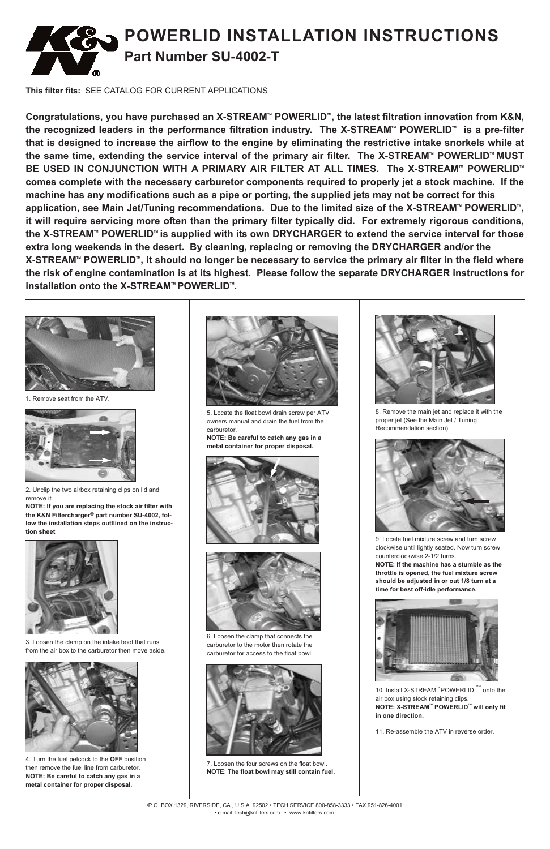10. Install X-STREAM<sup>™</sup> POWERLID<sup>™</sup> onto the air box using stock retaining clips. **NOTE: X-STREAMTM POWERLIDTM will only fit in one direction.**



•P.O. BOX 1329, RIVERSIDE, CA., U.S.A. 92502 • TECH SERVICE 800-858-3333 • FAX 951-826-4001

• e-mail: tech@knfilters.com • www.knfilters.com



1. Remove seat from the ATV.

6. Loosen the clamp that connects the carburetor to the motor then rotate the carburetor for access to the float bowl.



7. Loosen the four screws on the float bowl. **NOTE**: **The float bowl may still contain fuel.**



8. Remove the main jet and replace it with the proper jet (See the Main Jet / Tuning Recommendation section).

11. Re-assemble the ATV in reverse order.



2. Unclip the two airbox retaining clips on lid and remove it.

**NOTE: If you are replacing the stock air filter with the K&N Filtercharger® part number SU-4002, follow the installation steps outllined on the instruction sheet**



3. Loosen the clamp on the intake boot that runs from the air box to the carburetor then move aside.



4. Turn the fuel petcock to the **OFF** position then remove the fuel line from carburetor. **NOTE: Be careful to catch any gas in a metal container for proper disposal.**



5. Locate the float bowl drain screw per ATV owners manual and drain the fuel from the carburetor.

**NOTE: Be careful to catch any gas in a metal container for proper disposal.**





**This filter fits:** SEE CATALOG FOR CURRENT APPLICATIONS

**Congratulations, you have purchased an X-STREAMTM POWERLIDTM , the latest filtration innovation from K&N, the recognized leaders in the performance filtration industry. The X-STREAMTM POWERLIDTM is a pre-filter** that is designed to increase the airflow to the engine by eliminating the restrictive intake snorkels while at **the same time, extending the service interval of the primary air filter. The X-STREAMTM POWERLIDTM MUST BE** USED IN CONJUNCTION WITH A PRIMARY AIR FILTER AT ALL TIMES. The X-STREAM™ POWERLID™ **comes complete with the necessary carburetor components required to properly jet a stock machine. If the** machine has any modifications such as a pipe or porting, the supplied jets may not be correct for this  $\alpha$  application, see Main Jet/Tuning recommendations. Due to the limited size of the X-STREAM™ <code>POWERLID™</code>, **it will require servicing more often than the primary filter typically did. For extremely rigorous conditions, i**he X-STREAM™ POWERLID™ is supplied with its own DRYCHARGER to extend the service interval for those **extra long weekends in the desert. By cleaning, replacing or removing the DRYCHARGER and/or the** X-STREAM™ POWERLID™, it should no longer be necessary to service the primary air filter in the field where **the risk of engine contamination is at its highest. Please follow the separate DRYCHARGER instructions for installation onto the X-STREAM™ POWERLID™.** 



9. Locate fuel mixture screw and turn screw clockwise until lightly seated. Now turn screw counterclockwise 2-1/2 turns.

**NOTE: If the machine has a stumble as the throttle is opened, the fuel mixture screw should be adjusted in or out 1/8 turn at a time for best off-idle performance.**